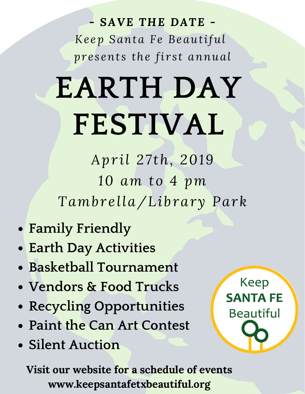### *- SAVE THE DATE - Ke ep Santa Fe Beautiful pr e s ent s the fi r s t annual*

# **EARTH DAY FESTIVAL**

*Apr il 27 th, 2019 10 am to 4 pm Tambr e lla/Library Park*

- **Family Friendly**
- **Earth Day Activities**
- **Basketball Tournament**
- **Vendors & Food Trucks**
- **Recycling Opportunities**
- **Paint the Can Art Contest**
- **Silent Auction**



**Visit our website for a schedule of events www.keepsantafetxbeautiful.org**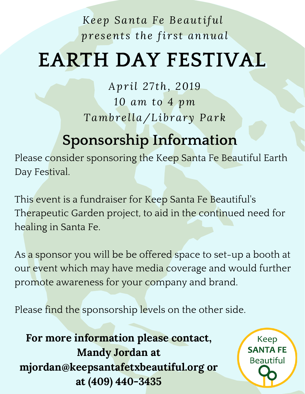## **EARTH DAY FESTIVAL**

*Apr il 27 th, 2019 10 am to 4 pm Tambr e lla/Library Park*

## **Sponsorship Information**

Please consider sponsoring the Keep Santa Fe Beautiful Earth Day Festival.

This event is a fundraiser for Keep Santa Fe Beautiful's Therapeutic Garden project, to aid in the continued need for healing in Santa Fe.

As a sponsor you will be be offered space to set-up a booth at our event which may have media coverage and would further promote awareness for your company and brand.

Please find the sponsorship levels on the other side.

**For more information please contact, Mandy Jordan at mjordan@keepsantafetxbeautiful.org or at (409) 440-3435**

**Keep SANTA FE Beautiful**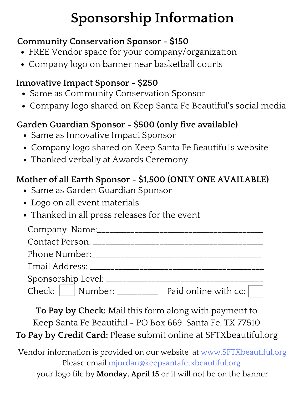## **Sponsorship Information**

#### **Community Conservation Sponsor - \$150**

- FREE Vendor space for your company/organization
- Company logo on banner near basketball courts

#### **Innovative Impact Sponsor - \$250**

- Same as Community Conservation Sponsor
- Company logo shared on Keep Santa Fe Beautiful's social media

#### **Garden Guardian Sponsor - \$500 (only five available)**

- Same as Innovative Impact Sponsor
- Company logo shared on Keep Santa Fe Beautiful's website
- Thanked verbally at Awards Ceremony

#### **Mother of all Earth Sponsor - \$1,500 (ONLY ONE AVAILABLE)**

- Same as Garden Guardian Sponsor
- Logo on all event materials
- Thanked in all press releases for the event

|  | Paid online with cc: |
|--|----------------------|

**To Pay by Check:** Mail this form along with payment to Keep Santa Fe Beautiful - PO Box 669, Santa Fe, TX 77510 **To Pay by Credit Card:** Please submit online at SFTXbeautiful.org

Vendor information is provided on our website at www.SFTXbeautiful.org Please email mjordan@keepsantafetxbeautiful.org your logo file by **Monday, April 15** or it will not be on the banner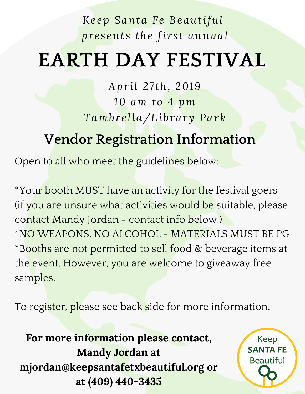## **EARTH DAY FESTIVAL**

*Apr il 27 th, 2019 10 am to 4 pm Tambr e lla/Library Park*

## **Vendor Registration Information**

Open to all who meet the guidelines below:

\*Your booth MUST have an activity for the festival goers (if you are unsure what activities would be suitable, please contact Mandy Jordan - contact info below.) \*NO WEAPONS, NO ALCOHOL - MATERIALS MUST BE PG \*Booths are not permitted to sell food & beverage items at the event. However, you are welcome to giveaway free samples.

To register, please see back side for more information.

**For more information please contact, Mandy Jordan at mjordan@keepsantafetxbeautiful.org or at (409) 440-3435**

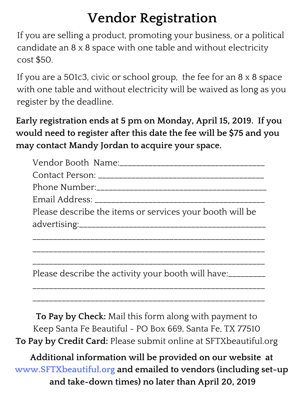## **Vendor Registration**

If you are selling a product, promoting your business, or a political candidate an 8 x 8 space with one table and without electricity cost \$50.

If you are a 501c3, civic or school group, the fee for an 8 x 8 space with one table and without electricity will be waived as long as you register by the deadline.

**Early registration ends at 5 pm on Monday, April 15, 2019. If you would need to register after this date the fee will be \$75 and you may contact Mandy Jordan to acquire your space.**

| Please describe the items or services your booth will be |  |  |  |  |
|----------------------------------------------------------|--|--|--|--|
|                                                          |  |  |  |  |
|                                                          |  |  |  |  |

Please describe the activity your booth will have:

\_\_\_\_\_\_\_\_\_\_\_\_\_\_\_\_\_\_\_\_\_\_\_\_\_\_\_\_\_\_\_\_\_\_\_\_\_\_\_\_\_\_\_\_\_\_\_\_\_\_\_\_\_\_\_\_

\_\_\_\_\_\_\_\_\_\_\_\_\_\_\_\_\_\_\_\_\_\_\_\_\_\_\_\_\_\_\_\_\_\_\_\_\_\_\_\_\_\_\_\_\_\_\_\_\_\_\_\_\_\_\_\_

\_\_\_\_\_\_\_\_\_\_\_\_\_\_\_\_\_\_\_\_\_\_\_\_\_\_\_\_\_\_\_\_\_\_\_\_\_\_\_\_\_\_\_\_\_\_\_\_\_\_\_\_\_\_\_\_

\_\_\_\_\_\_\_\_\_\_\_\_\_\_\_\_\_\_\_\_\_\_\_\_\_\_\_\_\_\_\_\_\_\_\_\_\_\_\_\_\_\_\_\_\_\_\_\_\_\_\_\_\_\_\_\_

**To Pay by Check:** Mail this form along with payment to Keep Santa Fe Beautiful - PO Box 669, Santa Fe, TX 77510 **To Pay by Credit Card:** Please submit online at SFTXbeautiful.org

**Additional information will be provided on our website at www.SFTXbeautiful.org and emailed to vendors (including set-up and take-down times) no later than April 20, 2019**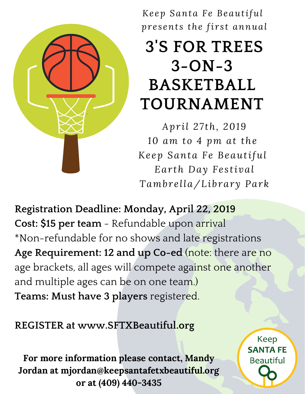

## **3'S FOR TREES 3-ON-3 BASKETBALL TOURNAMENT**

*Apr il 27 th, 2019 10 am to 4 pm at the Ke ep Santa Fe Beautiful Ear th Day Fe s tival Tambr e lla/Library Park*

**Registration Deadline: Monday, April 22, 2019 Cost: \$15 per team** - Refundable upon arrival \*Non-refundable for no shows and late registrations **Age Requirement: 12 and up Co-ed** (note: there are no age brackets, all ages will compete against one another and multiple ages can be on one team.) **Teams: Must have 3 players** registered.

**REGISTER at www.SFTXBeautiful.org**

**For more information please contact, Mandy Jordan at mjordan@keepsantafetxbeautiful.org or at (409) 440-3435**

**Keep SANTA FE Beautiful**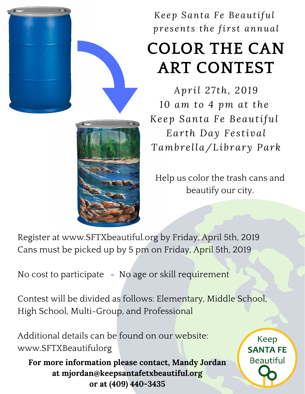

## **COLOR THE CAN ART CONTEST**

*Apr il 27 th, 2019 10 am to 4 pm at the Ke ep Santa Fe Beautiful Ear th Day Fe s tival Tambr e lla/Library Park*

Help us color the trash cans and beautify our city.

Register at www.SFTXbeautiful.org by Friday, April 5th, 2019 Cans must be picked up by 5 pm on Friday, April 5th, 2019

No cost to participate - No age or skill requirement

Contest will be divided as follows: Elementary, Middle School, High School, Multi-Group, and Professional

Additional details can be found on our website: www.SFTXBeautifulorg

**For more information please contact, Mandy Jordan at mjordan@keepsantafetxbeautiful.org or at (409) 440-3435**

**Keep SANTA FE Beautiful**